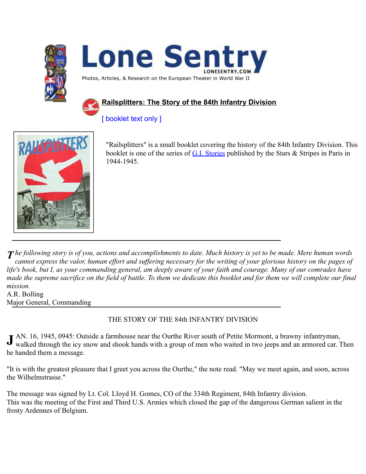



Photos, Articles, & Research on the European Theater in World War II

# **Railsplitters: The Story of the 84th Infantry Division**

# [ booklet text only ]



"Railsplitters" is a small booklet covering the history of the 84th Infantry Division. This booklet is one of the series of [G.I. Stories](http://www.lonesentry.com/gi_stories/index.html) published by the Stars & Stripes in Paris in 1944-1945.

*he following story is of you, actions and accomplishments to date. Much history is yet to be made. Mere human words*  $\overline{I}$ *cannot express the valor, human effort and suffering necessary for the writing of your glorious history on the pages of*  life's book, but I, as your commanding general, am deeply aware of your faith and courage. Many of our comrades have *made the supreme sacrifice on the field of battle. To them we dedicate this booklet and for them we will complete our final mission.*

A.R. Bolling Major General, Commanding

## THE STORY OF THE 84th INFANTRY DIVISION

AN. 16, 1945, 0945: Outside a farmhouse near the Ourthe River south of Petite Mormont, a brawny infantryman, walked through the icy snow and shook hands with a group of men who waited in two jeeps and an armored car. Then he handed them a message. **J**

"It is with the greatest pleasure that I greet you across the Ourthe," the note read. "May we meet again, and soon, across the Wilhelmstrasse."

The message was signed by Lt. Col. Lloyd H. Gomes, CO of the 334th Regiment, 84th Infantry division. This was the meeting of the First and Third U.S. Armies which closed the gap of the dangerous German salient in the frosty Ardennes of Belgium.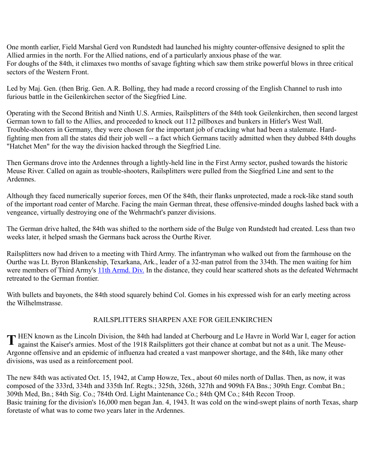One month earlier, Field Marshal Gerd von Rundstedt had launched his mighty counter-offensive designed to split the Allied armies in the north. For the Allied nations, end of a particularly anxious phase of the war. For doughs of the 84th, it climaxes two months of savage fighting which saw them strike powerful blows in three critical sectors of the Western Front.

Led by Maj. Gen. (then Brig. Gen. A.R. Bolling, they had made a record crossing of the English Channel to rush into furious battle in the Geilenkirchen sector of the Siegfried Line.

Operating with the Second British and Ninth U.S. Armies, Railsplitters of the 84th took Geilenkirchen, then second largest German town to fall to the Allies, and proceeded to knock out 112 pillboxes and bunkers in Hitler's West Wall. Trouble-shooters in Germany, they were chosen for the important job of cracking what had been a stalemate. Hardfighting men from all the states did their job well -- a fact which Germans tacitly admitted when they dubbed 84th doughs "Hatchet Men" for the way the division hacked through the Siegfried Line.

Then Germans drove into the Ardennes through a lightly-held line in the First Army sector, pushed towards the historic Meuse River. Called on again as trouble-shooters, Railsplitters were pulled from the Siegfried Line and sent to the Ardennes.

Although they faced numerically superior forces, men Of the 84th, their flanks unprotected, made a rock-like stand south of the important road center of Marche. Facing the main German threat, these offensive-minded doughs lashed back with a vengeance, virtually destroying one of the Wehrmacht's panzer divisions.

The German drive halted, the 84th was shifted to the northern side of the Bulge von Rundstedt had created. Less than two weeks later, it helped smash the Germans back across the Ourthe River.

Railsplitters now had driven to a meeting with Third Army. The infantryman who walked out from the farmhouse on the Ourthe was Lt. Byron Blankenship, Texarkana, Ark., leader of a 32-man patrol from the 334th. The men waiting for him were members of Third Army's [11th Armd. Div.](http://www.lonesentry.com/gi_stories_booklets/11tharmored/) In the distance, they could hear scattered shots as the defeated Wehrmacht retreated to the German frontier.

With bullets and bayonets, the 84th stood squarely behind Col. Gomes in his expressed wish for an early meeting across the Wilhelmstrasse.

## RAILSPLITTERS SHARPEN AXE FOR GEILENKIRCHEN

HEN known as the Lincoln Division, the 84th had landed at Cherbourg and Le Havre in World War I, eager for action The Kaiser's armies. Most of the 1918 Railsplitters got their chance at combat but not as a unit. The Meuse-<br>Tagainst the Kaiser's armies. Most of the 1918 Railsplitters got their chance at combat but not as a unit. The Me Argonne offensive and an epidemic of influenza had created a vast manpower shortage, and the 84th, like many other divisions, was used as a reinforcement pool.

The new 84th was activated Oct. 15, 1942, at Camp Howze, Tex., about 60 miles north of Dallas. Then, as now, it was composed of the 333rd, 334th and 335th Inf. Regts.; 325th, 326th, 327th and 909th FA Bns.; 309th Engr. Combat Bn.; 309th Med, Bn.; 84th Sig. Co.; 784th Ord. Light Maintenance Co.; 84th QM Co.; 84th Recon Troop. Basic training for the division's 16,000 men began Jan. 4, 1943. It was cold on the wind-swept plains of north Texas, sharp foretaste of what was to come two years later in the Ardennes.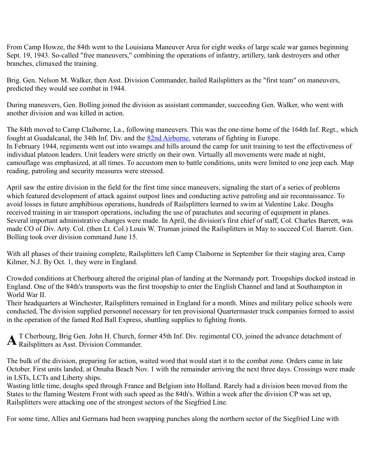From Camp Howze, the 84th went to the Louisiana Maneuver Area for eight weeks of large scale war games beginning Sept. 19, 1943. So-called "free maneuvers," combining the operations of infantry, artillery, tank destroyers and other branches, climaxed the training.

Brig. Gen. Nelson M. Walker, then Asst. Division Commander, hailed Railsplitters as the "first team" on maneuvers, predicted they would see combat in 1944.

During maneuvers, Gen. Bolling joined the division as assistant commander, succeeding Gen. Walker, who went with another division and was killed in action.

The 84th moved to Camp Claiborne, La., following maneuvers. This was the one-time home of the 164th Inf. Regt., which fought at Guadalcanal, the 34th Inf. Div. and the **82nd Airborne**, veterans of fighting in Europe. In February 1944, regiments went out into swamps and hills around the camp for unit training to test the effectiveness of individual platoon leaders. Unit leaders were strictly on their own. Virtually all movements were made at night, camouflage was emphasized, at all times. To accustom men to battle conditions, units were limited to one jeep each. Map reading, patroling and security measures were stressed.

April saw the entire division in the field for the first time since maneuvers, signaling the start of a series of problems which featured development of attack against outpost lines and conducting active patroling and air reconnaissance. To avoid losses in future amphibious operations, hundreds of Railsplitters learned to swim at Valentine Lake. Doughs received training in air transport operations, including the use of parachutes and securing of equipment in planes. Several important administrative changes were made. In April, the division's first chief of staff, Col. Charles Barrett, was made CO of Div. Arty. Col. (then Lt. Col.) Louis W. Truman joined the Railsplitters in May to succeed Col. Barrett. Gen. Bolling took over division command June 15.

With all phases of their training complete, Railsplitters left Camp Claiborne in September for their staging area, Camp Kilmer, N.J. By Oct. 1, they were in England.

Crowded conditions at Cherbourg altered the original plan of landing at the Normandy port. Troopships docked instead in England. One of the 84th's transports was the first troopship to enter the English Channel and land at Southampton in World War II.

Their headquarters at Winchester, Railsplitters remained in England for a month. Mines and military police schools were conducted, The division supplied personnel necessary for ten provisional Quartermaster truck companies formed to assist in the operation of the famed Red Ball Express, shuttling supplies to fighting fronts.

T Cherbourg, Brig Gen. John H. Church, former 45th Inf. Div. regimental CO, joined the advance detachment of A T Cherbourg, Brig Gen. John H. Church, fo<br>Railsplitters as Asst. Division Commander.

The bulk of the division, preparing for action, waited word that would start it to the combat zone. Orders came in late October. First units landed, at Omaha Beach Nov. 1 with the remainder arriving the next three days. Crossings were made in LSTs, LCTs and Liberty ships.

Wasting little time, doughs sped through France and Belgium into Holland. Rarely had a division been moved from the States to the flaming Western Front with such speed as the 84th's. Within a week after the division CP was set up, Railsplitters were attacking one of the strongest sectors of the Siegfried Line.

For some time, Allies and Germans had been swapping punches along the northern sector of the Siegfried Line with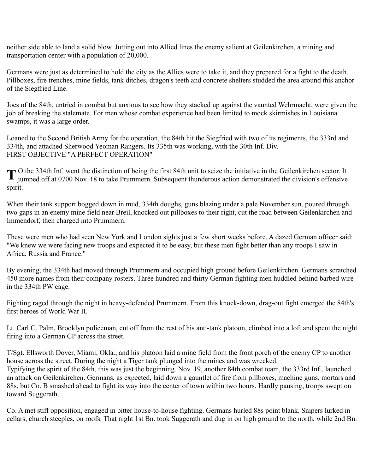neither side able to land a solid blow. Jutting out into Allied lines the enemy salient at Geilenkirchen, a mining and transportation center with a population of 20,000.

Germans were just as determined to hold the city as the Allies were to take it, and they prepared for a fight to the death. Pillboxes, fire trenches, mine fields, tank ditches, dragon's teeth and concrete shelters studded the area around this anchor of the Siegfried Line.

Joes of the 84th, untried in combat but anxious to see how they stacked up against the vaunted Wehrmacht, were given the job of breaking the stalemate. For men whose combat experience had been limited to mock skirmishes in Louisiana swamps, it was a large order.

Loaned to the Second British Army for the operation, the 84th hit the Siegfried with two of its regiments, the 333rd and 334th, and attached Sherwood Yeoman Rangers. Its 335th was working, with the 30th Inf. Div. FIRST OBJECTIVE "A PERFECT OPERATION"

O the 334th Inf. went the distinction of being the first 84th unit to seize the initiative in the Geilenkirchen sector. It T O the 334th Inf. went the distinction of being the first 84th unit to seize the initiative in the Geilenkirchen sector. It jumped off at 0700 Nov. 18 to take Prummern. Subsequent thunderous action demonstrated the divisi spirit.

When their tank support bogged down in mud, 334th doughs, guns blazing under a pale November sun, poured through two gaps in an enemy mine field near Breil, knocked out pillboxes to their right, cut the road between Geilenkirchen and Immendorf, then charged into Prummern.

These were men who had seen New York and London sights just a few short weeks before. A dazed German officer said: "We knew we were facing new troops and expected it to be easy, but these men fight better than any troops I saw in Africa, Russia and France."

By evening, the 334th had moved through Prummern and occupied high ground before Geilenkirchen. Germans scratched 450 more names from their company rosters. Three hundred and thirty German fighting men huddled behind barbed wire in the 334th PW cage.

Fighting raged through the night in heavy-defended Prummern. From this knock-down, drag-out fight emerged the 84th's first heroes of World War II.

Lt. Carl C. Palm, Brooklyn policeman, cut off from the rest of his anti-tank platoon, climbed into a loft and spent the night firing into a German CP across the street.

T/Sgt. Ellsworth Dover, Miami, Okla., and his platoon laid a mine field from the front porch of the enemy CP to another house across the street. During the night a Tiger tank plunged into the mines and was wrecked. Typifying the spirit of the 84th, this was just the beginning. Nov. 19, another 84th combat team, the 333rd Inf., launched an attack on Geilenkirchen. Germans, as expected, laid down a gauntlet of fire from pillboxes, machine guns, mortars and 88s, but Co. B smashed ahead to fight its way into the center of town within two hours. Hardly pausing, troops swept on toward Suggerath.

Co. A met stiff opposition, engaged in bitter house-to-house fighting. Germans hurled 88s point blank. Snipers lurked in cellars, church steeples, on roofs. That night 1st Bn. took Suggerath and dug in on high ground to the north, while 2nd Bn.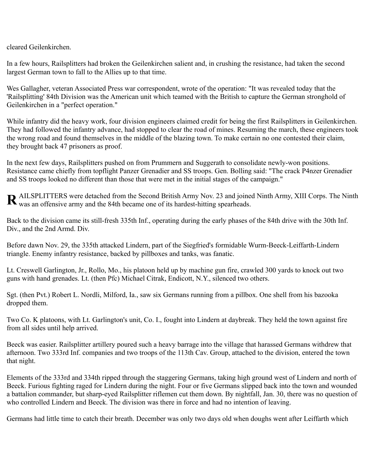cleared Geilenkirchen.

In a few hours, Railsplitters had broken the Geilenkirchen salient and, in crushing the resistance, had taken the second largest German town to fall to the Allies up to that time.

Wes Gallagher, veteran Associated Press war correspondent, wrote of the operation: "It was revealed today that the 'Railsplitting' 84th Division was the American unit which teamed with the British to capture the German stronghold of Geilenkirchen in a "perfect operation."

While infantry did the heavy work, four division engineers claimed credit for being the first Railsplitters in Geilenkirchen. They had followed the infantry advance, had stopped to clear the road of mines. Resuming the march, these engineers took the wrong road and found themselves in the middle of the blazing town. To make certain no one contested their claim, they brought back 47 prisoners as proof.

In the next few days, Railsplitters pushed on from Prummern and Suggerath to consolidate newly-won positions. Resistance came chiefly from topflight Panzer Grenadier and SS troops. Gen. Bolling said: "The crack P4nzer Grenadier and SS troops looked no different than those that were met in the initial stages of the campaign."

AILSPLITTERS were detached from the Second British Army Nov. 23 and joined Ninth Army, XIII Corps. The Ninth **R** AILSPLITTERS were detached from the Second British Army Nov. 23 and joine was an offensive army and the 84th became one of its hardest-hitting spearheads.

Back to the division came its still-fresh 335th Inf., operating during the early phases of the 84th drive with the 30th Inf. Div., and the 2nd Armd. Div.

Before dawn Nov. 29, the 335th attacked Lindern, part of the Siegfried's formidable Wurm-Beeck-Leiffarth-Lindern triangle. Enemy infantry resistance, backed by pillboxes and tanks, was fanatic.

Lt. Creswell Garlington, Jr., Rollo, Mo., his platoon held up by machine gun fire, crawled 300 yards to knock out two guns with hand grenades. Lt. (then Pfc) Michael Citrak, Endicott, N.Y., silenced two others.

Sgt. (then Pvt.) Robert L. Nordli, Milford, Ia., saw six Germans running from a pillbox. One shell from his bazooka dropped them.

Two Co. K platoons, with Lt. Garlington's unit, Co. I., fought into Lindern at daybreak. They held the town against fire from all sides until help arrived.

Beeck was easier. Railsplitter artillery poured such a heavy barrage into the village that harassed Germans withdrew that afternoon. Two 333rd Inf. companies and two troops of the 113th Cav. Group, attached to the division, entered the town that night.

Elements of the 333rd and 334th ripped through the staggering Germans, taking high ground west of Lindern and north of Beeck. Furious fighting raged for Lindern during the night. Four or five Germans slipped back into the town and wounded a battalion commander, but sharp-eyed Railsplitter riflemen cut them down. By nightfall, Jan. 30, there was no question of who controlled Lindern and Beeck. The division was there in force and had no intention of leaving.

Germans had little time to catch their breath. December was only two days old when doughs went after Leiffarth which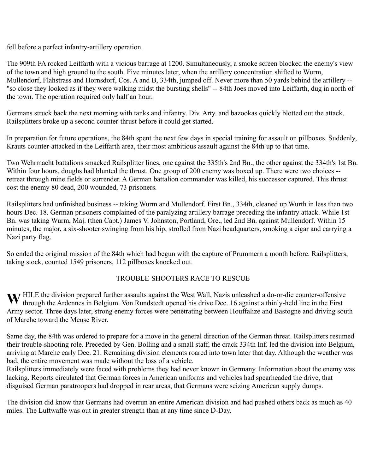fell before a perfect infantry-artillery operation.

The 909th FA rocked Leiffarth with a vicious barrage at 1200. Simultaneously, a smoke screen blocked the enemy's view of the town and high ground to the south. Five minutes later, when the artillery concentration shifted to Wurm, Mullendorf, Flahstrass and Hornsdorf, Cos. A and B, 334th, jumped off. Never more than 50 yards behind the artillery -- "so close they looked as if they were walking midst the bursting shells" -- 84th Joes moved into Leiffarth, dug in north of the town. The operation required only half an hour.

Germans struck back the next morning with tanks and infantry. Div. Arty. and bazookas quickly blotted out the attack, Railsplitters broke up a second counter-thrust before it could get started.

In preparation for future operations, the 84th spent the next few days in special training for assault on pillboxes. Suddenly, Krauts counter-attacked in the Leiffarth area, their most ambitious assault against the 84th up to that time.

Two Wehrmacht battalions smacked Railsplitter lines, one against the 335th's 2nd Bn., the other against the 334th's 1st Bn. Within four hours, doughs had blunted the thrust. One group of 200 enemy was boxed up. There were two choices -retreat through mine fields or surrender. A German battalion commander was killed, his successor captured. This thrust cost the enemy 80 dead, 200 wounded, 73 prisoners.

Railsplitters had unfinished business -- taking Wurm and Mullendorf. First Bn., 334th, cleaned up Wurth in less than two hours Dec. 18. German prisoners complained of the paralyzing artillery barrage preceding the infantry attack. While 1st Bn. was taking Wurm, Maj. (then Capt.) James V. Johnston, Portland, Ore., led 2nd Bn. against Mullendorf. Within 15 minutes, the major, a six-shooter swinging from his hip, strolled from Nazi headquarters, smoking a cigar and carrying a Nazi party flag.

So ended the original mission of the 84th which had begun with the capture of Prummern a month before. Railsplitters, taking stock, counted 1549 prisoners, 112 pillboxes knocked out.

## TROUBLE-SHOOTERS RACE TO RESCUE

W HILE the division prepared further assaults against the West Wall, Nazis unleashed a do-or-die counter-offensive through the Ardennes in Belgium. Von Rundstedt opened his drive Dec. 16 against a thinly-held line in the F through the Ardennes in Belgium. Von Rundstedt opened his drive Dec. 16 against a thinly-held line in the First Army sector. Three days later, strong enemy forces were penetrating between Houffalize and Bastogne and driving south of Marche toward the Meuse River.

Same day, the 84th was ordered to prepare for a move in the general direction of the German threat. Railsplitters resumed their trouble-shooting role. Preceded by Gen. Bolling and a small staff, the crack 334th Inf. led the division into Belgium, arriving at Marche early Dec. 21. Remaining division elements roared into town later that day. Although the weather was bad, the entire movement was made without the loss of a vehicle.

Railsplitters immediately were faced with problems they had never known in Germany. Information about the enemy was lacking. Reports circulated that German forces in American uniforms and vehicles had spearheaded the drive, that disguised German paratroopers had dropped in rear areas, that Germans were seizing American supply dumps.

The division did know that Germans had overrun an entire American division and had pushed others back as much as 40 miles. The Luftwaffe was out in greater strength than at any time since D-Day.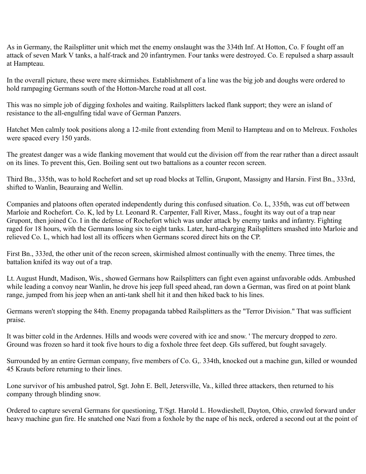As in Germany, the Railsplitter unit which met the enemy onslaught was the 334th Inf. At Hotton, Co. F fought off an attack of seven Mark V tanks, a half-track and 20 infantrymen. Four tanks were destroyed. Co. E repulsed a sharp assault at Hampteau.

In the overall picture, these were mere skirmishes. Establishment of a line was the big job and doughs were ordered to hold rampaging Germans south of the Hotton-Marche road at all cost.

This was no simple job of digging foxholes and waiting. Railsplitters lacked flank support; they were an island of resistance to the all-engulfing tidal wave of German Panzers.

Hatchet Men calmly took positions along a 12-mile front extending from Menil to Hampteau and on to Melreux. Foxholes were spaced every 150 yards.

The greatest danger was a wide flanking movement that would cut the division off from the rear rather than a direct assault on its lines. To prevent this, Gen. Boiling sent out two battalions as a counter recon screen.

Third Bn., 335th, was to hold Rochefort and set up road blocks at Tellin, Grupont, Massigny and Harsin. First Bn., 333rd, shifted to Wanlin, Beauraing and Wellin.

Companies and platoons often operated independently during this confused situation. Co. L, 335th, was cut off between Marloie and Rochefort. Co. K, led by Lt. Leonard R. Carpenter, Fall River, Mass., fought its way out of a trap near Grupont, then joined Co. I in the defense of Rochefort which was under attack by enemy tanks and infantry. Fighting raged for 18 hours, with the Germans losing six to eight tanks. Later, hard-charging Railsplitters smashed into Marloie and relieved Co. L, which had lost all its officers when Germans scored direct hits on the CP.

First Bn., 333rd, the other unit of the recon screen, skirmished almost continually with the enemy. Three times, the battalion knifed its way out of a trap.

Lt. August Hundt, Madison, Wis., showed Germans how Railsplitters can fight even against unfavorable odds. Ambushed while leading a convoy near Wanlin, he drove his jeep full speed ahead, ran down a German, was fired on at point blank range, jumped from his jeep when an anti-tank shell hit it and then hiked back to his lines.

Germans weren't stopping the 84th. Enemy propaganda tabbed Railsplitters as the "Terror Division." That was sufficient praise.

It was bitter cold in the Ardennes. Hills and woods were covered with ice and snow. ' The mercury dropped to zero. Ground was frozen so hard it took five hours to dig a foxhole three feet deep. GIs suffered, but fought savagely.

Surrounded by an entire German company, five members of Co. G,. 334th, knocked out a machine gun, killed or wounded 45 Krauts before returning to their lines.

Lone survivor of his ambushed patrol, Sgt. John E. Bell, Jetersville, Va., killed three attackers, then returned to his company through blinding snow.

Ordered to capture several Germans for questioning, T/Sgt. Harold L. Howdieshell, Dayton, Ohio, crawled forward under heavy machine gun fire. He snatched one Nazi from a foxhole by the nape of his neck, ordered a second out at the point of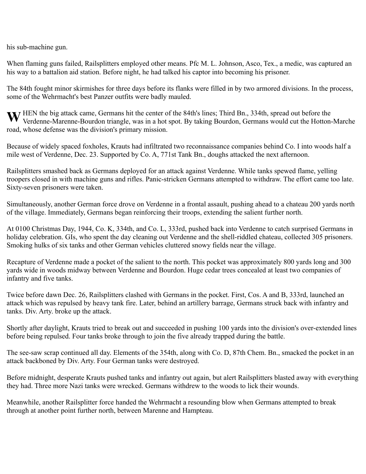his sub-machine gun.

When flaming guns failed, Railsplitters employed other means. Pfc M. L. Johnson, Asco, Tex., a medic, was captured an his way to a battalion aid station. Before night, he had talked his captor into becoming his prisoner.

The 84th fought minor skirmishes for three days before its flanks were filled in by two armored divisions. In the process, some of the Wehrmacht's best Panzer outfits were badly mauled.

W HEN the big attack came, Germans hit the center of the 84th's lines; Third Bn., 334th, spread out before the Verdenne-Marenne-Bourdon triangle, was in a hot spot. By taking Bourdon, Germans would cut the Hotton-Verdenne-Marenne-Bourdon triangle, was in a hot spot. By taking Bourdon, Germans would cut the Hotton-Marche road, whose defense was the division's primary mission.

Because of widely spaced foxholes, Krauts had infiltrated two reconnaissance companies behind Co. I into woods half a mile west of Verdenne, Dec. 23. Supported by Co. A, 771st Tank Bn., doughs attacked the next afternoon.

Railsplitters smashed back as Germans deployed for an attack against Verdenne. While tanks spewed flame, yelling troopers closed in with machine guns and rifles. Panic-stricken Germans attempted to withdraw. The effort came too late. Sixty-seven prisoners were taken.

Simultaneously, another German force drove on Verdenne in a frontal assault, pushing ahead to a chateau 200 yards north of the village. Immediately, Germans began reinforcing their troops, extending the salient further north.

At 0100 Christmas Day, 1944, Co. K, 334th, and Co. L, 333rd, pushed back into Verdenne to catch surprised Germans in holiday celebration. GIs, who spent the day cleaning out Verdenne and the shell-riddled chateau, collected 305 prisoners. Smoking hulks of six tanks and other German vehicles cluttered snowy fields near the village.

Recapture of Verdenne made a pocket of the salient to the north. This pocket was approximately 800 yards long and 300 yards wide in woods midway between Verdenne and Bourdon. Huge cedar trees concealed at least two companies of infantry and five tanks.

Twice before dawn Dec. 26, Railsplitters clashed with Germans in the pocket. First, Cos. A and B, 333rd, launched an attack which was repulsed by heavy tank fire. Later, behind an artillery barrage, Germans struck back with infantry and tanks. Div. Arty. broke up the attack.

Shortly after daylight, Krauts tried to break out and succeeded in pushing 100 yards into the division's over-extended lines before being repulsed. Four tanks broke through to join the five already trapped during the battle.

The see-saw scrap continued all day. Elements of the 354th, along with Co. D, 87th Chem. Bn., smacked the pocket in an attack backboned by Div. Arty. Four German tanks were destroyed.

Before midnight, desperate Krauts pushed tanks and infantry out again, but alert Railsplitters blasted away with everything they had. Three more Nazi tanks were wrecked. Germans withdrew to the woods to lick their wounds.

Meanwhile, another Railsplitter force handed the Wehrmacht a resounding blow when Germans attempted to break through at another point further north, between Marenne and Hampteau.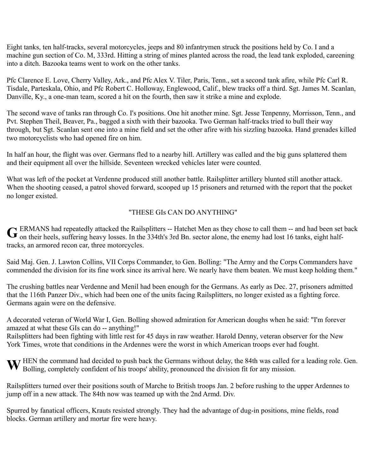Eight tanks, ten half-tracks, several motorcycles, jeeps and 80 infantrymen struck the positions held by Co. I and a machine gun section of Co. M, 333rd. Hitting a string of mines planted across the road, the lead tank exploded, careening into a ditch. Bazooka teams went to work on the other tanks.

Pfc Clarence E. Love, Cherry Valley, Ark., and Pfc Alex V. Tiler, Paris, Tenn., set a second tank afire, while Pfc Carl R. Tisdale, Parteskala, Ohio, and Pfc Robert C. Holloway, Englewood, Calif., blew tracks off a third. Sgt. James M. Scanlan, Danville, Ky., a one-man team, scored a hit on the fourth, then saw it strike a mine and explode.

The second wave of tanks ran through Co. I's positions. One hit another mine. Sgt. Jesse Tenpenny, Morrisson, Tenn., and Pvt. Stephen Theil, Beaver, Pa., bagged a sixth with their bazooka. Two German half-tracks tried to bull their way through, but Sgt. Scanlan sent one into a mine field and set the other afire with his sizzling bazooka. Hand grenades killed two motorcyclists who had opened fire on him.

In half an hour, the flight was over. Germans fled to a nearby hill. Artillery was called and the big guns splattered them and their equipment all over the hillside. Seventeen wrecked vehicles later were counted.

What was left of the pocket at Verdenne produced still another battle. Railsplitter artillery blunted still another attack. When the shooting ceased, a patrol shoved forward, scooped up 15 prisoners and returned with the report that the pocket no longer existed.

#### "THESE GIs CAN DO ANYTHING"

ERMANS had repeatedly attacked the Railsplitters -- Hatchet Men as they chose to call them -- and had been set back G ERMANS had repeatedly attacked the Railsplitters -- Hatchet Men as they chose to call them -- and had been set<br> **G** on their heels, suffering heavy losses. In the 334th's 3rd Bn. sector alone, the enemy had lost 16 tanks tracks, an armored recon car, three motorcycles.

Said Maj. Gen. J. Lawton Collins, VII Corps Commander, to Gen. Bolling: "The Army and the Corps Commanders have commended the division for its fine work since its arrival here. We nearly have them beaten. We must keep holding them."

The crushing battles near Verdenne and Menil had been enough for the Germans. As early as Dec. 27, prisoners admitted that the 116th Panzer Div., which had been one of the units facing Railsplitters, no longer existed as a fighting force. Germans again were on the defensive.

A decorated veteran of World War I, Gen. Bolling showed admiration for American doughs when he said: "I'm forever amazed at what these GIs can do -- anything!"

Railsplitters had been fighting with little rest for 45 days in raw weather. Harold Denny, veteran observer for the New York Times, wrote that conditions in the Ardennes were the worst in which American troops ever had fought.

HEN the command had decided to push back the Germans without delay, the 84th was called for a leading role. Gen. W HEN the command had decided to push back the Germans without delay, the 84th was called for Bolling, completely confident of his troops' ability, pronounced the division fit for any mission.

Railsplitters turned over their positions south of Marche to British troops Jan. 2 before rushing to the upper Ardennes to jump off in a new attack. The 84th now was teamed up with the 2nd Armd. Div.

Spurred by fanatical officers, Krauts resisted strongly. They had the advantage of dug-in positions, mine fields, road blocks. German artillery and mortar fire were heavy.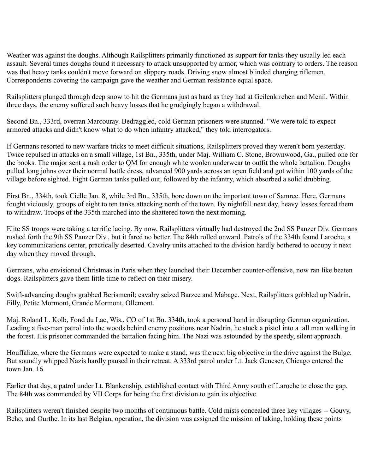Weather was against the doughs. Although Railsplitters primarily functioned as support for tanks they usually led each assault. Several times doughs found it necessary to attack unsupported by armor, which was contrary to orders. The reason was that heavy tanks couldn't move forward on slippery roads. Driving snow almost blinded charging riflemen. Correspondents covering the campaign gave the weather and German resistance equal space.

Railsplitters plunged through deep snow to hit the Germans just as hard as they had at Geilenkirchen and Menil. Within three days, the enemy suffered such heavy losses that he grudgingly began a withdrawal.

Second Bn., 333rd, overran Marcouray. Bedraggled, cold German prisoners were stunned. "We were told to expect armored attacks and didn't know what to do when infantry attacked," they told interrogators.

If Germans resorted to new warfare tricks to meet difficult situations, Railsplitters proved they weren't born yesterday. Twice repulsed in attacks on a small village, 1st Bn., 335th, under Maj. William C. Stone, Brownwood, Ga., pulled one for the books. The major sent a rush order to QM for enough white woolen underwear to outfit the whole battalion. Doughs pulled long johns over their normal battle dress, advanced 900 yards across an open field and got within 100 yards of the village before sighted. Eight German tanks pulled out, followed by the infantry, which absorbed a solid drubbing.

First Bn., 334th, took Cielle Jan. 8, while 3rd Bn., 335th, bore down on the important town of Samree. Here, Germans fought viciously, groups of eight to ten tanks attacking north of the town. By nightfall next day, heavy losses forced them to withdraw. Troops of the 335th marched into the shattered town the next morning.

Elite SS troops were taking a terrific lacing. By now, Railsplitters virtually had destroyed the 2nd SS Panzer Div. Germans rushed forth the 9th SS Panzer Div., but it fared no better. The 84th rolled onward. Patrols of the 334th found Laroche, a key communications center, practically deserted. Cavalry units attached to the division hardly bothered to occupy it next day when they moved through.

Germans, who envisioned Christmas in Paris when they launched their December counter-offensive, now ran like beaten dogs. Railsplitters gave them little time to reflect on their misery.

Swift-advancing doughs grabbed Berismenil; cavalry seized Barzee and Mabage. Next, Railsplitters gobbled up Nadrin, Filly, Petite Mormont, Grande Mormont, Ollemont.

Maj. Roland L. Kolb, Fond du Lac, Wis., CO of 1st Bn. 334th, took a personal hand in disrupting German organization. Leading a five-man patrol into the woods behind enemy positions near Nadrin, he stuck a pistol into a tall man walking in the forest. His prisoner commanded the battalion facing him. The Nazi was astounded by the speedy, silent approach.

Houffalize, where the Germans were expected to make a stand, was the next big objective in the drive against the Bulge. But soundly whipped Nazis hardly paused in their retreat. A 333rd patrol under Lt. Jack Geneser, Chicago entered the town Jan. 16.

Earlier that day, a patrol under Lt. Blankenship, established contact with Third Army south of Laroche to close the gap. The 84th was commended by VII Corps for being the first division to gain its objective.

Railsplitters weren't finished despite two months of continuous battle. Cold mists concealed three key villages -- Gouvy, Beho, and Ourthe. In its last Belgian, operation, the division was assigned the mission of taking, holding these points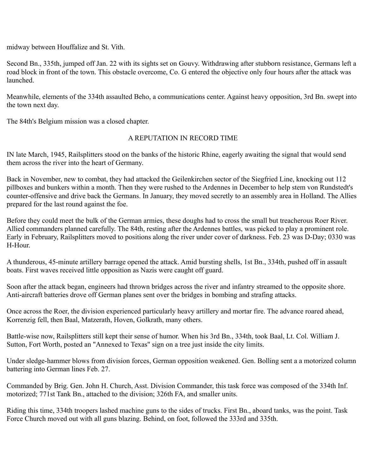midway between Houffalize and St. Vith.

Second Bn., 335th, jumped off Jan. 22 with its sights set on Gouvy. Withdrawing after stubborn resistance, Germans left a road block in front of the town. This obstacle overcome, Co. G entered the objective only four hours after the attack was launched.

Meanwhile, elements of the 334th assaulted Beho, a communications center. Against heavy opposition, 3rd Bn. swept into the town next day.

The 84th's Belgium mission was a closed chapter.

#### A REPUTATION IN RECORD TIME

IN late March, 1945, Railsplitters stood on the banks of the historic Rhine, eagerly awaiting the signal that would send them across the river into the heart of Germany.

Back in November, new to combat, they had attacked the Geilenkirchen sector of the Siegfried Line, knocking out 112 pillboxes and bunkers within a month. Then they were rushed to the Ardennes in December to help stem von Rundstedt's counter-offensive and drive back the Germans. In January, they moved secretly to an assembly area in Holland. The Allies prepared for the last round against the foe.

Before they could meet the bulk of the German armies, these doughs had to cross the small but treacherous Roer River. Allied commanders planned carefully. The 84th, resting after the Ardennes battles, was picked to play a prominent role. Early in February, Railsplitters moved to positions along the river under cover of darkness. Feb. 23 was D-Day; 0330 was H-Hour.

A thunderous, 45-minute artillery barrage opened the attack. Amid bursting shells, 1st Bn., 334th, pushed off in assault boats. First waves received little opposition as Nazis were caught off guard.

Soon after the attack began, engineers had thrown bridges across the river and infantry streamed to the opposite shore. Anti-aircraft batteries drove off German planes sent over the bridges in bombing and strafing attacks.

Once across the Roer, the division experienced particularly heavy artillery and mortar fire. The advance roared ahead, Korrenzig fell, then Baal, Matzerath, Hoven, Golkrath, many others.

Battle-wise now, Railsplitters still kept their sense of humor. When his 3rd Bn., 334th, took Baal, Lt. Col. William J. Sutton, Fort Worth, posted an "Annexed to Texas" sign on a tree just inside the city limits.

Under sledge-hammer blows from division forces, German opposition weakened. Gen. Bolling sent a a motorized column battering into German lines Feb. 27.

Commanded by Brig. Gen. John H. Church, Asst. Division Commander, this task force was composed of the 334th Inf. motorized; 771st Tank Bn., attached to the division; 326th FA, and smaller units.

Riding this time, 334th troopers lashed machine guns to the sides of trucks. First Bn., aboard tanks, was the point. Task Force Church moved out with all guns blazing. Behind, on foot, followed the 333rd and 335th.